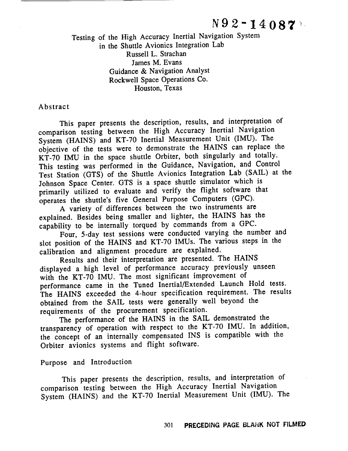Testing of the High Accuracy Inertial Navigation System in the Shuttle Avionics Integration Lab Russell L. Strachan James M. Evans Guidance & Navigation Analyst Rockwell Space Operations *Co.* Houston, Texas

#### Abstract

This paper presents the description, **results,** and interpretation of comparison testing between the High Accuracy Inertial Navigation System (HAINS) and KT-70 Inertial Measurement Unit (IMU). The objective of the tests were to demonstrate the HAINS can replace the KT-70 IMU in the space shuttle Orbiter, both singularly and totally. This testing was performed in the Guidance, Navigation, and Control Test Station (GTS) of the Shuttle Avionics Integration Lab (SAIL) at the Johnson Space Center. GTS is a space shuttle simulator which is primarily utilized to evaluate and verify the flight software that operates the shuttle's five General Purpose *Computers* (GPC).

A variety of differences between the two instruments are explained. Besides being smaller and lighter, the HAINS has the capability to be internally torqued by commands from a GPC.<br>Four, 5-day test sessions were conducted varying the number and

Four, 5-day test sessions were conducted varying the number and slot position of the HAINS and KT-70 IMUs. The various steps in the calibration and alignment procedure are explained.<br>Results and their interpretation are presented. The HAINS

Results and their interpretation are presented. The HAI displayed a high level of performance accuracy previously unset with the KT-70 IMU. The most significant improvement of performance came in the Tuned Inertial/Extended Launch Hold tests. The HAINS exceeded the 4-hour specification requirement. The results obtained from the SAIL tests were generally well beyond the requirements of the procurement specification.

The performance of the HAINS in the SAIL demonstrated the transparency of operation with respect to the *KT-70* IMU. In addition, the concept of an internally compensated INS is compatible with the Orbiter avionics systems and flight software.

Purpose and Introduction

This paper presents the description, results, and interpretation of comparison testing between the High Accuracy Inertial Navigation System (HAINS) and the KT-70 Inertial Measurement Unit (IMU). The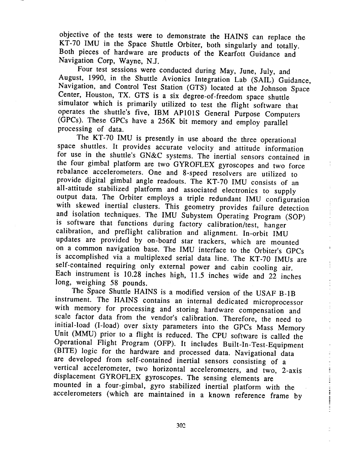objective of the tests were to demonstrate the HAINS can replace the KT-70 IMU in the Space Shuttle Orbiter, both singularly and totally. Both pieces of hardware are products of the Kearfott Guidance and Navigation Corp, Wayne, N.J.

Four test sessions were conducted during May, June, July, and August, 1990, in the Shuttle Avionics Integration Lab (SAIL) Guidance, Navigation, and Control Test Station (GTS) located at the Johnson Space Center, Houston, TX. GTS is a six degree-of-freedom space shuttle simulator which is primarily utilized to test the flight software that operates the shuttle's five, IBM AP101S General Purpose Computers  $GPCs$ ) These  $GPCs$  have a 256K bit mamory and purpose  $CerU_1$ (GPCs). These GPCs have a 256K bit memory and employ parallel

The KT-70 IMU is presently in use aboard the three operational space shuttles. It provides accurate velocity and attitude information for use in the shuttle's GN&C systems. The inertial sensors contained in the four gimbal platform are two GYROFLEX gyroscopes and two force rebalance accelerometers. One and 8-speed resolvers are utilized to provide digital gimbal angle readouts. The KT-70 IMU consists of an all-attitude stabilized platform and associated electronics to supply output data. The Orbiter employs a triple redundant IMU configuration with skewed inertial clusters. This geometry provides failure detection and isolation techniques. The IMU Subystem Operating Program (SOP) is software that functions during factory calibration/test, hanger calibration, and preflight calibration and alignment. In-orbit IMU updates are provided by on-board star trackers, which are mounted on a common navigation base. The IMU interface to the Orbiter's GPCs is accomplished via a multiplexed serial data line. The KT-70 IMUs are self-contained requiring only external power and cabin cooling air. Each instrument is 10.28 inches high, 11.5 inches wide and 22 inches long, weighing 58 pounds.

The Space Shuttle HAINS is a modified version of the USAF B-1B instrument. The HAINS contains an internal dedicated microprocessor with memory for processing and storing hardware compensation and scale factor data from the vendor's calibration. Therefore, the need to initial-load (I-load) over sixty parameters into the GPCs Mass Memory Unit (MMU) prior to a flight is reduced. The CPU software is called the Operational Flight Program (OFP). It includes Built-In-Test-Equipment (BITE) logic for the hardware and processed data. Navigational data are developed from self-contained inertial sensors consisting of a vertical accelerometer, two horizontal accelerometers, and two, 2-axis displacement GYROFLEX gyroscopes. The sensing elements are mounted in a four-gimbal, gyro stabilized inertial platform with the  $n_{\text{c}}$  mounted in a form  $\frac{1}{n_{\text{c}}}\int_{0}^{n_{\text{c}}}\text{d}t$  $\mathcal{L}$  and  $\mathcal{L}$  are maintained in a known reference  $\mathcal{L}$ 

t.

302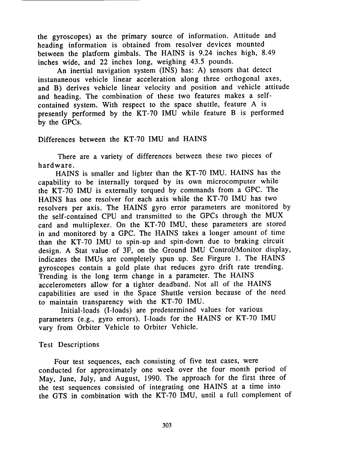the gyroscopes) as the primary source of information. Attitude and heading information is obtained from resolver devices mounted between the platform gimbals. The HAINS is 9.24 inches high, 8.49 inches wide, and 22 inches long, weighing 43.5 pounds.

An inertial navigation system (INS) has: A) sensors that detect instananeous vehicle linear acceleration along three orthogonal axes, and B) derives vehicle linear velocity and position and vehicle attitude and heading. The combination of these two features makes a selfcontained system. With respect to the space shuttle, feature A is presently performed by the KT-70 IMU while feature B is performed by the GPCs.

## Differences between the KT-70 IMU and HAINS

There are a variety of differences between these two pieces of hardware.

HA!NS is smaller and lighter than the KT-70 IMU. HAINS has the capability to be internally torqued by its own microcomputer while the KT-70 IMU is externally torqued by commands from a GPC. The HAINS has one resolver for each axis while the KT-70 IMU has two resolvers per axis. The HAINS gyro error parameters are monitored by the self-contained CPU and transmitted to the GPCs through the MUX card and multiplexer. On the KT-70 IMU, these parameters are stored in and monitored by a GPC. The HAINS takes a longer amount of time than the KT-70 IMU to spin-up and spin-down due to braking circuit design. A Stat value of 3F, on the Ground IMU Control/Monitor display, indicates the IMUs are completely spun up. See Firgure 1. The HAINS gyroscopes contain a gold plate that reduces gyro drift rate trending. Trending is the long term change in a parameter. The HAINS accelerometers allow for a tighter deadband. Not all of the HAINS capabilities are used in the Space Shuttle version because of the need to maintain transparency with the KT-70 IMU.

Initial-loads (I-loads) are predetermined values for various parameters (e.g., gyro errors). I-loads for the HAINS or KT-70 IMU vary from Orbiter Vehicle to Orbiter Vehicle.

#### Test Descriptions

Four test sequences, each consisting of five test cases, were conducted for approximately one week over the four month period of May, June, July, and August, 1990. The approach for the first three of the test sequences consisted of integrating one HAINS at a time into the GTS in combination with the KT-70 IMU, until a full complement of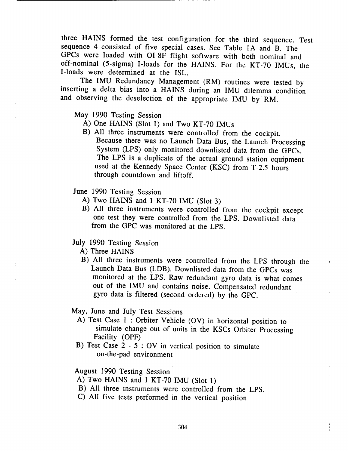three HAINS formed the test configuration for the third sequence. Test sequence 4 consisted of five special cases. See Table 1A and B. The GPCs were loaded with OI-8F flight software with both nominal and  $\frac{1}{2}$  of the solution of  $\frac{1}{2}$  flight software with  $\frac{1}{2}$  flight software with  $\frac{1}{2}$  flight  $\frac{1}{2}$  flight software with  $\frac{1}{2}$  flight software with  $\frac{1}{2}$  flight software with  $\frac{1}{2}$  flight sof Lloads were determined at the  $R$ <sup>INS</sup>

I-loads were determined at the ISL.<br>The IMU Redundancy Management (RM) routines were tested by inserting a delta bias into a HAINS during an IMU dilemma condition and observing the decelering  $\epsilon$  the  $\epsilon$  into a HAINS during an IMU distribution  $\epsilon$ 

May 1990 Testing Session

- A) One HAINS (Slot 1) and Two KT-70 IMUs
- B) All three instruments were controlled from the cockpit. Because there was no Launch Data Bus, the Launch Processing. System (LPS) only monitored downlisted data from the GPCs. The LPS is a duplicate of the actual ground station equipment  $T_{\text{max}}$  is a duplicate of the actual ground station equipment  $t$ hrough countdown and liftoff through countdown and liftoff.
- 
- June 1990 Testing Session<br>A) Two HAINS and 1 KT-70 IMU (Slot 3)
	- B) All three instruments were controlled from the cockpit except one test they were controlled from the LPS. Downlisted data from the  $CDC$  wes manitored at the LPS. Downlisted data from the GPC was monitored at the LPS.
- July 1990 Testing Session<br>A) Three HAINS
	-
	- B) All three instruments were controlled from the LPS through the Launch Data Bus (LDB). Downlisted data from the GPCs was monitored at the LPS. Raw redundant gyro data is what comes out of the IMU and contains noise. Compensated redundant outo data is filtered (second endored) by the CDO  $\epsilon$

- May, June and July Test Sessions<br>A) Test Case 1: Orbiter Vehicle (OV) in horizontal position to  $\epsilon$  simulate change out of units in the KGC. O  $\lambda$  is  $\lambda$  $S_{\text{no}}$ ility (ODE)
	- $\text{C}$  $\theta$  on the ned environment on-the-pad environment

- August 1990 Testing Session<br>A) Two HAINS and 1 KT-70 IMU (Slot 1)
- B) All three instruments were controlled from the LPS.
- $\overline{N}$  All five to the neighbourse  $\overline{A}$  is the second of  $\overline{A}$ .  $\gamma$  all fine tests in the vertical position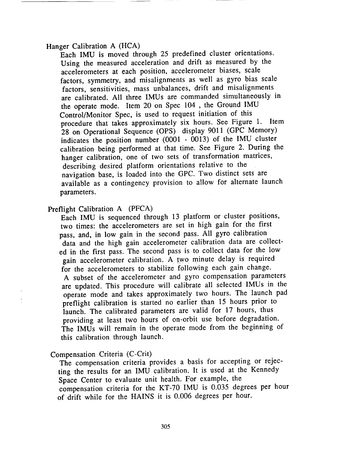Hanger Calibration A (HCA)

Each IMU is moved through 25 predefined cluster orientations. Using the measured acceleration and drift as measured by the accelerometers at each position, accelerometer biases, scale factors, symmetry, and misalignments as well as gyro bias scale factors, sensitivities, mass unbalances, drift and misalignments are calibrated. All three IMUs are commanded simultaneously in the operate mode. Item 20 on Spec 104 , the Ground IMU Control/Monitor Spec, is used to request initiation of this procedure that takes approximately six hours. See Figure 1. Item 28 on Operational Sequence (OPS) display 9011 (GPC Memory) indicates the position number  $(0001 - 0013)$  of the IMU cluster calibration being performed at that time. See Figure 2. During the hanger calibration, one of two sets of transformation matrices, describing desired platform orientations relative to the navigation base, is loaded into the GPC. Two distinct sets are available as a contingency provision to allow for alternate launch parameters.

Preflight Calibration A (PFCA)

Each IMU is sequenced through 13 platform or cluster positions, two times: the accelerometers are set in high gain for the first pass, and, in low gain in the second pass. All gyro calibration data and the high gain accelerometer calibration data are collected in the first pass. The second pass is to collect data for the low gain accelerometer calibration. A two minute delay is required for the accelerometers to stabilize following each gain change. A subset of the accelerometer and gyro compensation parameters are updated. This procedure will calibrate all selected IMUs in the operate mode and takes approximately two hours. The launch pad preflight calibration is started no earlier ithan 15 hours prior to launch. The calibrated parameters are valid for 17 hours, thus providing at least two hours of on-orbit use before degradation. The IMUs will remain in the operate mode from the beginning of this calibration through launch.

Compensation Criteria (C-Crit)

The compensation criteria provides a basis for accepting or rejecting the results for an IMU calibration. It is used at the Kennedy Space Center to evaluate unit health. For example, the compensation criteria for the KT-70 IMU is 0.035 degrees per hour of drift while for the HAINS it is 0.006 degrees per hour.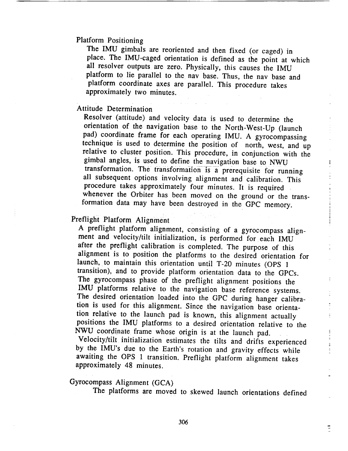#### Platform Positioning

The IMU gimbals are reoriented and then fixed (or caged) in place. The IMU-caged orientation is defined as the point at which all resolver outputs are zero. Physically, this causes the IMU platform to lie parallel to the nav base. Thus, the nav base and platform coordinate axes are parallel. This procedure takes approximately two minutes.

#### Attitude Determination

Resolver (attitude) and velocity data is used to determine the orientation of the navigation base to the North-West-Up (launch pad) coordinate frame for each operating IMU. A gyrocompassing technique is used to determine the position of north, west, and up relative to cluster position. This procedure, in conjunction with the gimbal angles, is used to define the navigation base to NWU transformation. The transformation is a prerequisite for running all subsequent options involving alignment and calibration. This procedure takes approximately four minutes. It is required whenever the Orbiter has been moved on the ground or the transformation data may have been destroyed in the GPC memory.

i

Ě.

 $\begin{array}{ccc}\n\mathbf{1} & \mathbf{1} & \mathbf{1} & \mathbf{1} \\
\mathbf{1} & \mathbf{1} & \mathbf{1} & \mathbf{1}\n\end{array}$ 

1991 - 1991 - 1991

 $\overline{a}$ 

# Preflight Platform Alignment

A preflight platform alignment, consisting of a gyrocompass alignment and velocity/tilt initialization, is performed for each IMU after the preflight calibration is completed. The purpose of this alignment is to position the platforms to the desired orientation for launch, to maintain this orientation until T-20 minutes (OPS 1 transition), and to provide platform orientation data to the GPCs. The gyrocompass phase of the preflight alignment positions the IMU platforms relative to the navigation base reference systems. The desired orientation loaded into the GPC during hanger calibration is used for this alignment. Since the navigation base orientation relative to the launch pad is known, this alignment actually positions the IMU platforms to a desired orientation relative to the NWU coordinate frame whose origin is at the launch pad.

Velocity/tilt initialization estimates the tilts and drifts experienced by the IMU's due to the Earth's rotation and gravity effects while awaiting the OPS 1 transition. Preflight platform alignment takes approximately 48 minutes.

# Gyrocompass Alignment (GCA)

The platforms are moved to skewed launch orientations defined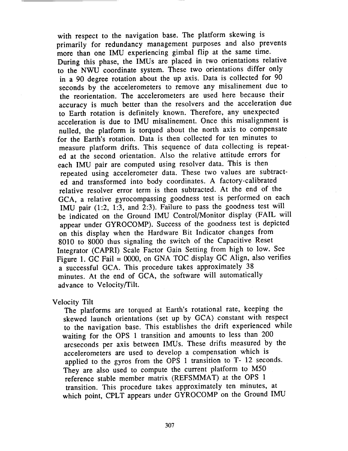with respect to the navigation base. The platform skewing is primarily for redundancy management purposes and also prevents more than one IMU experiencing gimbal flip at the same time. During this phase, the IMUs are placed in two orientations relative to the NWU coordinate system. These two orientations differ only in a 90 degree rotation about the up axis. Data is collected for 90 seconds by the accelerometers to remove any misalinement due to the reorientation. The accelerometers are used here because their accuracy is much better than the resolvers and the acceleration due to Earth rotation is definitely known. Therefore, any unexpected acceleration is due to IMU misalinement. Once this misalignment is nulled, the platform is torqued about the north axis to compensate for the Earth's rotation. Data is then collected for ten minutes to measure platform drifts. This sequence of data collecting is repeated at the second orientation. *Also* the relative attitude errors for each IMU pair are computed using resolver data. This is then repeated using accelerometer data. These two values are subtracted and transformed into body coordinates. A factory-calibrated relative resolver error term is then subtracted. At the end of the GCA, a relative gyrocompassing goodness test is performed on each IMU pair (1:2, 1:3, and 2:3). Failure to pass the goodness test will be indicated on the Ground IMU Control/Monitor display (FAIL will appear under GYROCOMP). Success of the goodness test is depicted on this display when the *Hardware Bit Indicator* changes from 8010 to 8000 thus signaling the switch of the Capacitive Reset Integrator (CAPRI) Scale Factor Gain Setting from high to low. See Figure 1. GC Fail = 0000, on GNA TOC display GC Align, also verifies a successful GCA. This procedure takes approximately 38 minutes. At the end of GCA, the software will automatically advance to Velocity/Tilt.

# Velocity Tilt

The platforms are torqued at Earth's rotational rate, keeping the skewed launch orientations (set up by GCA) constant with respect to the navigation base. This establishes the drift experienced while waiting for the OPS 1 transition and amounts to less than 200 arcseconds per axis between IMUs. These drifts measured by the accelerometers are used to develop a compensation which is applied to the gyros from the OPS 1 transition to T- 12 seconds. They are also used to compute the current platform to M50 reference stable member matrix (REFSMMAT) at the OPS 1 transition. This procedure takes approximately ten minutes, at which point, CPLT appears under GYROCOMP on the Ground IMU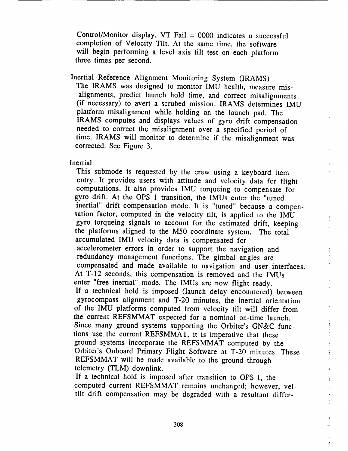Control/Monitor display. VT Fail = 0000 indicates a successful completion of Velocity Tilt. At the same time, the software will begin performing a level axis tilt test on each platform three times per second.

Inertial Reference Alignment Monitoring System (IRAMS) The IRAMS was designed to monitor IMU health, measure misalignments, predict launch hold time, and correct misalignments (if necessary) to avert a scrubed mission. IRAMS determines IMU platform misalignment while holding on the launch pad. The IRAMS computes and displays values of gyro drift compensation needed to correct the misalignment over a specified period of time. IRAMS will monitor to determine if the misalignment was corrected. See Figure 3.

#### Inertial

This submode is requested by the crew using a keyboard item entry. It provides users with attitude and velocity data for flight computations. It also provides IMU torqueing to compensate for gyro drift. At the OPS 1 transition, the IMUs enter the "tuned inertial" drift compensation mode. It is "tuned" because a compensation factor, computed in the velocity tilt, is applied to the IMU gyro torqueing signals to account for the estimated drift, keeping the platforms aligned to the M50 coordinate system. The total accumulated IMU velocity data is compensated for accelerometer errors in order to support the navigation and redundancy management functions. The gimbal angles are compensated and made available to navigation and user interfaces. At T-12 seconds, this compensation is removed and the IMUs enter "free inertial" mode. The IMUs are now flight ready. If a technical hold is imposed (launch delay encountered) between gyrocompass alignment and T-20 minutes, the inertial orientation of the IMU platforms computed from velocity tilt will differ from the current REFSMMAT expected for a nominal on-time launch. Since many ground systems supporting the Orbiter's GN&C functions use the current REFSMMAT, it is imperative that these ground systems incorporate the REFSMMAT computed by the Orbiter's Onboard Primary Flight Software at T-20 minutes. These REFSMMAT will be made available to the ground through telemetry (TLM) downlink.

If a technical hold is imposed after transition to OPS-1, the computed current REFSMMAT remains unchanged; however, veltilt drift compensation may be degraded with a resultant differ÷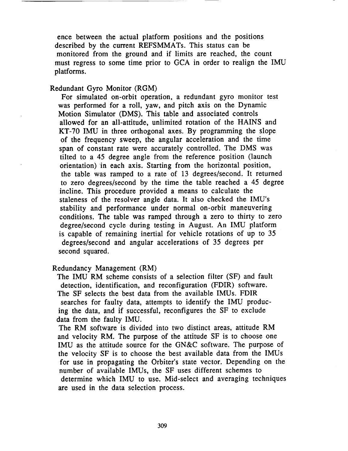ence between the actual platform positions and the positions described by the current REFSMMATs. This status can be monitored from the ground and if limits are reached, the count must regress to some time prior to GCA in order to realign the IMU platforms.

Redundant Gyro Monitor (RGM)

For simulated on-orbit operation, a redundant gyro monitor test was performed for a roll, yaw, and pitch axis on the Dynamic Motion Simulator (DMS). This table and associated controls allowed for an all-attitude, unlimited rotation of the HAINS and KT-70 IMU in three orthogonal axes. By programming the slope of the frequency sweep, the angular acceleration and the time span of constant rate were accurately controlled. The DMS was tilted to a 45 degree angle from the reference position (launch orientation) in each axis. Starting from the horizontal position, the table was ramped to a rate of 13 degrees/second. It returned to zero degrees/second by the time the table reached a 45 degree incline. This procedure provided a means to calculate the staleness of the resolver angle data. It also checked the IMU's stability and performance under normal on-orbit maneuvering conditions. The table was ramped through a zero to thirty to zero degree/second cycle during testing in August. An IMU platform is capable of remaining inertial for vehicle rotations of up to 35 degrees/second and angular accelerations of 35 degrees per second squared.

Redundancy Management (RM)

The IMU RM scheme consists of a selection filter (SF) and fault detection, identification, and reconfiguration (FDIR) software. The SF selects the best data from the available IMUs. FDIR searches for faulty data, attempts to identify the IMU producing the data, and if successful, reconfigures the SF to exclude data from the faulty IMU.

The RM software is divided into two distinct areas, attitude RM and velocity RM. The purpose of the attitude SF is to choose one IMU as the attitude source for the GN&C software. The purpose of the velocity SF is to choose the best available data from the IMUs for use in propagating the Orbiter's state vector. Depending on the number of available IMUs, the SF uses different schemes to determine which IMU to use. Mid-select and averaging techniques are used in the data selection process.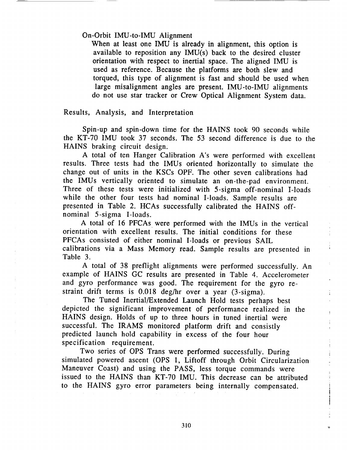On-Orbit IMU-to-IMU Alignment

When at least one IMU is already in alignment, this option is available to reposition any IMU(s) back to the desired cluster orientation with respect to inertial space. The aligned IMU is used as reference. Because the platforms are both slew and torqued, this type of alignment is fast and should be used when large misalignment angles are present. IMU-to-IMU alignments do not use star tracker or Crew Optical Alignment System data.

## Results, Analysis, and Interpretation

Spin-up and spin-down time for the HAINS took 90 seconds while the KT-70 IMU took 37 seconds. The 53 second difference is due to the HAINS braking circuit design.

A total of ten Hanger Calibration A's were performed with excellent results. Three tests had the IMUs oriented horizontally to simulate the change out of units in the KSCs OPF. The other seven calibrations had the IMUs vertically oriented to simulate an on-the-pad environment. Three of these tests were initialized with 5-sigma off-nominal I-loads while the other four tests had nominal I-loads. Sample results are presented in Table 2. HCAs successfully calibrated the HAINS offnominal 5-sigma I-loads.

A total of 16 PFCAs were performed with the IMUs in the vertical orientation with excellent results. The initial conditions for these PFCAs consisted of either nominal I-loads or previous SAIL calibrations via a Mass Memory read. Sample results are presented in Table 3.

A total of 38 preflight alignments were performed successfully. An example of HAINS GC results are presented in Table 4. Accelerometer and gyro performance was good. The requirement for the gyro restraint drift terms is 0.018 deg/hr over a year (3-sigma).

The Tuned Inertial/Extended Launch Hold tests perhaps best depicted the significant improvement of performance realized in the HAINS design. Holds of up to three hours in tuned inertial were successful. The IRAMS monitored platform drift and consistly predicted launch hold capability in excess of the four hour specification requirement.

t.

 $\frac{1}{2}$ 

Two series of *OPS* Trans were performed successfully. During simulated powered ascent (OPS 1, Liftoff through Orbit Circularization Maneuver Coast) and using the PASS, less torque commands were issued to the HAINS than KT-70 IMU. This decrease can be attributed to the HAINS gyro error parameters being internally compensated.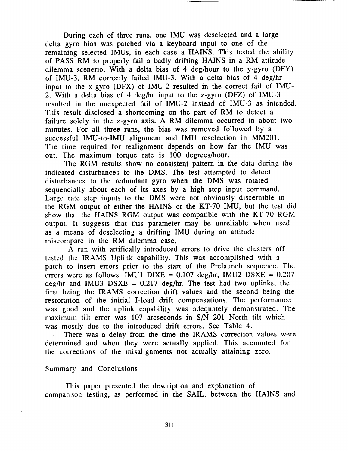During each of three runs, one IMU was deselected and a large delta gyro bias was patched via a keyboard input to one of the remaining selected IMUs, in each case a HAINS. This tested the ability of PASS RM to properly fail a badly drifting HAINS in a RM attitude dilemma scenerio. With a delta bias of 4 deg/hour to the y-gyro (DFY) of IMU-3, RM correctly failed IMU-3. With a delta bias of 4 deg/hr input to the x-gyro (DFX) of IMU-2 resulted in the correct fail of IMU-2. With a delta bias of 4 deg/hr input to the z-gyro (DFZ) of IMU-3 resulted in the unexpected fail of IMU-2 instead of IMU-3 as intended. This result disclosed a shortcoming on the part of RM to detect a failure solely in the z-gyro axis. A RM dilemma occurred in about two minutes. For all three runs, the bias was removed followed by a successful IMU-to-IMU alignment and IMU reselection in MM201. The time required for realignment depends on how far the IMU was out. The maximum torque rate is 100 degrees/hour.

The RGM results show no consistent pattern in the data during the indicated disturbances to the DMS. The test attempted to detect disturbances to the redundant gyro when the DMS was rotated sequencially about each of its axes by a high step input command. Large rate step inputs to the DMS were not obviously discernible in the RGM output of either the HAINS or the KT-70 IMU, but the test did show that the HAINS RGM output was compatible with the KT-70 RGM output. It suggests that this parameter may be unreliable when used as a means of deselecting a drifting IMU during an attitude miscompare in the RM dilemma case.

A run with artifically introduced errors to drive the clusters off tested the IRAMS Uplink capability. This was accomplished with a patch to insert errors prior to the start of the Prelaunch sequence. The errors were as follows: IMU1 DIXE =  $0.107$  deg/hr, IMU2 DSXE =  $0.207$  $deg/hr$  and IMU3 DSXE = 0.217 deg/hr. The test had two uplinks, the first being the IRAMS correction drift values and the second being the restoration of the initial I-load drift compensations. The performance was good and the uplink capability was adequately demonstrated. The maximum tilt error was 107 arcseconds in S/N 201 North tilt which was mostly due to the introduced drift errors. See Table 4.

There was a delay from the time the IRAMS correction values were determined and when they were actually applied. This accounted for the corrections of the misalignments not actually attaining zero.

#### Summary and Conclusions

This paper presented the description and explanation of comparison testing, as performed in the SAIL, between the HAINS and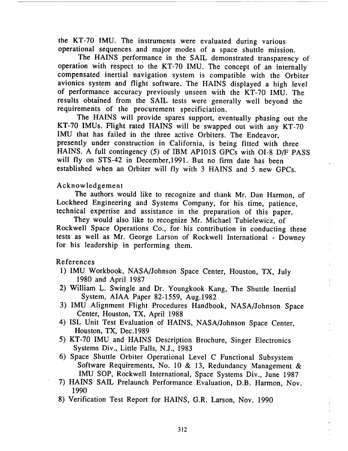the KT-70 IMU. The instruments were evaluated during various operational sequences and major modes of a space shuttle mission.

The HAINS performance in the SAIL demonstrated transparency of operation with respect to the KT-70 IMU. The concept of an internally compensated inertial navigation system is compatible with the Orbiter avionics system and flight software. The HAINS displayed a high level of performance accuracy previously unseen with the KT-70 IMU. The results obtained from the SAIL tests were generally well beyond the requirements of the procurement specificiation.

The HAINS will provide spares support, eventually phasing out the KT-70 !MUs. Flight rated HAINS will be swapped out with any KT-70 IMU that has failed in the three active Orbiters. The Endeavor, presently under construction in California, is being fitted with three HAINS. A full contingency (5) of IBM AP101S GPCs with O1-8 D/F PASS will fly on STS-42 in December,1991. But no firm date has been established when an *Orbiter* will fly with 3 HAINS and 5 new GPCs.

# Acknowledgement

The authors would like to recognize and thank Mr. Dan Harmon, of Lockheed Engineering and Systems Company, for his time, patience, technical expertise and assistance in the preparation of this paper.

They would also like to recognize Mr. Michael Tubielewicz, of Rockwell Space Operations Co., for his contribution in conducting these tests as well as Mr. George Larson of Rockwell International - Downey for his leadership in performing them.

# References

- 1) IMU Workbook, NASA/Johnson Space Center, Houston, TX, July 1980 and April 1987
- 2) William L. Swingle and Dr. Youngkook Kang, The Shuttle Inertial System, AIAA Paper 82-1559, Aug.1982
- 3) IMU Alignment Flight Procedures Handbook, NASA/Johnson Space Center, Houston, TX, April 1988
- 4) ISL Unit Test Evaluation of HAINS, NASA/Johnson Space Center, Houston, TX, Dec.1989
- 5) KT-70 IMU and HAINS Description Brochure, Singer Electronics Systems Div., Little Falls, N.J., 1983
- 6) Space Shuttle Orbiter Operational Level C Functional Subsystem Software Requirements, No. 10 & 13, Redundancy Management & IMU SOP, Rockwell International, Space Systems Div., June 1987
- 7) HAINS SAIL Prelaunch Performance Evaluation, D.B. Harmon, Nov. 1990
- 8) Verification Test Report for HAINS, G.R. Larson, Nov. 1990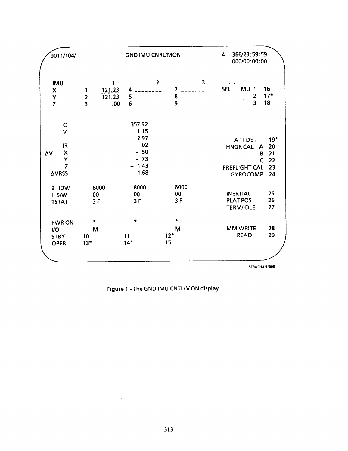| <b>GND IMU CNRL/MON</b>                        |                                                  |                                                                     | 4                                                                        | 366/23:59:59<br>000/00:00:00 |  |  |
|------------------------------------------------|--------------------------------------------------|---------------------------------------------------------------------|--------------------------------------------------------------------------|------------------------------|--|--|
| 1<br>$\overline{2}$<br>$\overline{\mathbf{3}}$ | 4<br>5<br>6                                      | $\overline{\mathbf{3}}$<br>$\mathbf{z}$<br>7<br>8<br>$\overline{9}$ | <b>SEL</b><br><b>IMU</b><br>$\mathbf{1}$<br>2<br>$\overline{\mathbf{3}}$ | 16<br>$17*$<br>18            |  |  |
|                                                | 357.92<br>1.15<br>2.97<br>.02<br>$-.50$<br>$-73$ |                                                                     | ATT DET<br><b>HNGR CAL</b><br>A<br>B                                     | $19*$<br>20<br>21<br>22      |  |  |
|                                                | $+ 1.43$<br>1.68                                 |                                                                     | PREFLIGHT CAL<br><b>GYROCOMP</b>                                         | 23<br>24                     |  |  |
| 8000<br>00<br>3F                               | 8000<br>00<br>3F                                 | 8000<br>00<br>3F                                                    | <b>INERTIAL</b><br><b>PLAT POS</b><br><b>TERM/IDLE</b>                   | 25<br>26<br>27               |  |  |
| *<br>M<br>10<br>$13*$                          | $\star$<br>11<br>$14*$                           | $\bullet$<br>M<br>$12*$<br>15                                       | <b>MM WRITE</b><br><b>READ</b>                                           | 28<br>29                     |  |  |
|                                                |                                                  | $\mathbf{1}$<br>121.23<br>121.23<br>.00                             |                                                                          | $\mathsf{C}$                 |  |  |

 $\tilde{\gamma}$ 

Figure 1.- The GND IMU CNTL/MON display.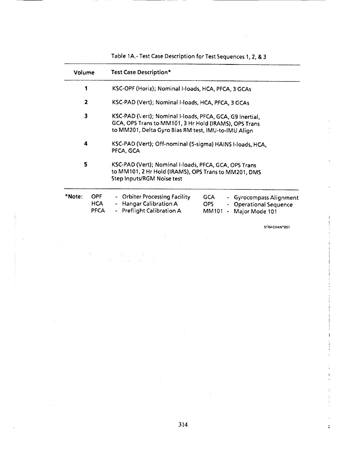| Volume |  | <b>Test Case Description*</b>                                                                                                                                                                                         |  |  |  |  |  |
|--------|--|-----------------------------------------------------------------------------------------------------------------------------------------------------------------------------------------------------------------------|--|--|--|--|--|
| 1      |  | KSC-OPF (Horiz); Nominal I-loads, HCA, PFCA, 3 GCAs                                                                                                                                                                   |  |  |  |  |  |
| 2      |  | KSC-PAD (Vert); Nominal I-loads, HCA, PFCA, 3 GCAs                                                                                                                                                                    |  |  |  |  |  |
| 3      |  | KSC-PAD (Vert); Nominal I-loads, PFCA, GCA, G9 Inertial,<br>GCA, OPS Trans to MM101, 3 Hr Hold (IRAMS), OPS Trans<br>to MM201, Delta Gyro Bias RM test, IMU-to-IMU Align                                              |  |  |  |  |  |
| 4<br>5 |  | KSC-PAD (Vert); Off-nominal (5-sigma) HAINS I-loads, HCA,<br>PFCA, GCA<br>KSC-PAD (Vert); Nominal I-loads, PFCA, GCA, OPS Trans<br>to MM101, 2 Hr Hold (IRAMS), OPS Trans to MM201, DMS<br>Step Inputs/RGM Noise test |  |  |  |  |  |
|        |  |                                                                                                                                                                                                                       |  |  |  |  |  |

 $\bar{z}$ 

 $\frac{1}{2} \left( \frac{1}{2} \right)$  ,  $\frac{1}{2} \left( \frac{1}{2} \right)$  ,  $\frac{1}{2} \left( \frac{1}{2} \right)$ 

 $\gamma_{\rm{p}}$ 

 $\cdot$ 

Table 1A.- Test **Case** Description for **Test Sequences 1,2,** & **3**

STRACHAN'001

 $\overline{\phantom{a}}$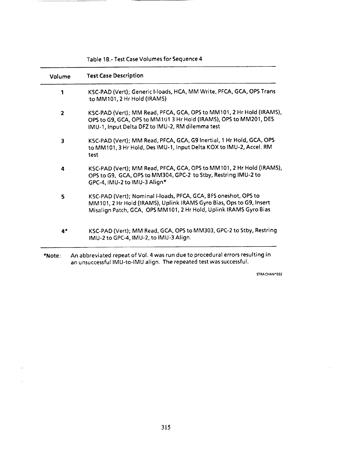| Volume         | <b>Test Case Description</b>                                                                                                                                                                                |
|----------------|-------------------------------------------------------------------------------------------------------------------------------------------------------------------------------------------------------------|
| 1              | KSC-PAD (Vert); Generic I-loads, HCA, MM Write, PFCA, GCA, OPS Trans<br>to MM101, 2 Hr Hold (IRAMS)                                                                                                         |
| $\overline{2}$ | KSC-PAD (Vert); MM Read, PFCA, GCA, OPS to MM101, 2 Hr Hold (IRAMS),<br>OPS to G9, GCA, OPS to MM101 3 Hr Hold (IRAMS), OPS to MM201, DES<br>IMU-1, Input Delta DFZ to IMU-2, RM dilemma test               |
| 3              | KSC-PAD (Vert); MM Read, PFCA, GCA, G9 Inertial, 1 Hr Hold, GCA, OPS<br>to MM101, 3 Hr Hold, Des IMU-1, Input Delta KOX to IMU-2, Accel. RM<br>test                                                         |
| 4              | KSC-PAD (Vert); MM Read, PFCA, GCA, OPS to MM101, 2 Hr Hold (IRAMS),<br>OPS to G9, GCA, OPS to MM304, GPC-2 to Stby, Restring IMU-2 to<br>GPC-4, IMU-2 to IMU-3 Align*                                      |
| 5              | KSC-PAD (Vert); Nominal I-loads, PFCA, GCA, BFS oneshot, OPS to<br>MM101, 2 Hr Hold (IRAMS), Uplink IRAMS Gyro Bias, Ops to G9, Insert<br>Misalign Patch, GCA, OPS MM101, 2 Hr Hold, Uplink IRAMS Gyro Bias |
| $4*$           | KSC-PAD (Vert); MM Read, GCA, OPS to MM303, GPC-2 to Stby, Restring<br>IMU-2 to GPC-4, IMU-2, to IMU-3 Align.                                                                                               |

an unsuccessful IMU-to-IMU align. The repeated test was successful.

Table **lB.-** Test **Case** Volumes for **Sequence 4**

 $\bar{z}$ 

 $\cdot$ 

 $\bar{z}$ 

**STRACHAN'002**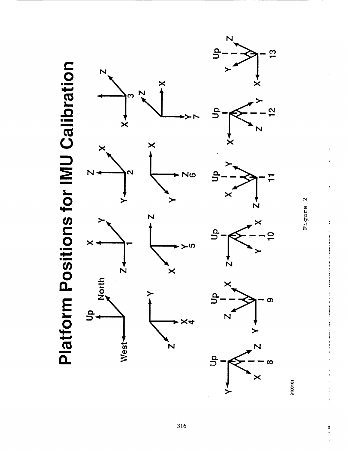

Figure 2

9100101

I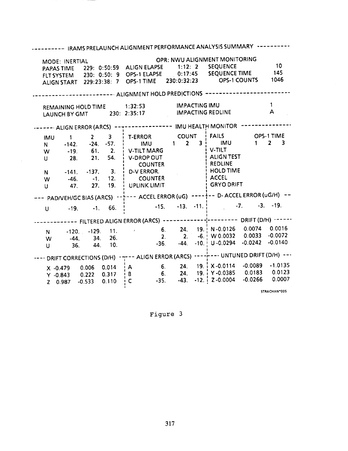| ------ IRAMS PRELAUNCH ALIGNMENT PERFORMANCE ANALYSIS SUMMARY ----                                                                                             |                             |                                              |                          |                                                                                                                                                                                                                                  |                     |  |
|----------------------------------------------------------------------------------------------------------------------------------------------------------------|-----------------------------|----------------------------------------------|--------------------------|----------------------------------------------------------------------------------------------------------------------------------------------------------------------------------------------------------------------------------|---------------------|--|
| MODE: INERTIAL                                                                                                                                                 |                             |                                              |                          | OPR: NWU ALIGNMENT MONITORING<br>PAPAS TIME 229: 0:50:59 ALIGN ELAPSE 1:12: 2 SEQUENCE 10<br>FLT SYSTEM 230: 0:50: 9 OPS-1 ELAPSE 0:17:45 SEQUENCE TIME 145<br>ALIGN START 229:23:38: 7 OPS-1 TIME 230:0:32:23 OPS-1 COUNTS 1046 | 10                  |  |
|                                                                                                                                                                |                             |                                              |                          |                                                                                                                                                                                                                                  |                     |  |
| REMAINING HOLD TIME 1:32:53 IMPACTING IMU<br>LAUNCH BY GMT 230: 2:35:17                                                                                        |                             |                                              | <b>IMPACTING REDLINE</b> |                                                                                                                                                                                                                                  | $\mathbf{1}$<br>A   |  |
|                                                                                                                                                                |                             |                                              |                          |                                                                                                                                                                                                                                  |                     |  |
| N -142. -24. -57. IMU 1 2 3 IMU<br>W -19. 61. 2. V-TILT MARG V-TILT<br>U 28. 21. 54. i V-DROP OUT<br>N -141. -137. 3. D-VERROR.<br>W -46. -1. 12. COUNTER<br>U |                             | <b>i</b> COUNTER<br>47. 27. 19. UPLINK LIMIT |                          | IMU 1 2 3 T-ERROR COUNT FAILS OPS-1 TIME<br>ALIGN TEST<br><b>E</b> REDLINE<br>HOLD TIME<br>$i$ accel<br><b>GRYO DRIFT</b>                                                                                                        | $1 \quad 2 \quad 3$ |  |
|                                                                                                                                                                |                             |                                              |                          | - PAD/VEH/GC BIAS (ARCS) ----- ACCEL ERROR (uG) -------- D- ACCEL ERROR (uG/H)                                                                                                                                                   |                     |  |
|                                                                                                                                                                |                             |                                              |                          | U -19. -1. 66. $\frac{1}{2}$ -15. -13. -11. $\frac{1}{2}$ -7.                                                                                                                                                                    | $-3. -19.$          |  |
|                                                                                                                                                                |                             |                                              |                          | ------- FILTERED ALIGN ERROR (ARCS) -------------------- DRIFT (D/H) -----                                                                                                                                                       |                     |  |
| N -<br>W <sub>1</sub><br>$\mathsf{U}$                                                                                                                          | -44. 34. 26.<br>36. 44. 10. |                                              |                          | $-120.$ $-129.$ 11. $-6.$ 24. 19. N $-0.0126$ 0.0074 0.0016<br>2. 2. -6. W 0.0032 0.0033 -0.0072<br>$-36.$ $-44.$ $-10.$ U $-0.0294$ $-0.0242$                                                                                   | $-0.0140$           |  |
| · DRIFT CORRECTIONS (D/H) · --- ALIGN ERROR (ARCS) ·------ UNTUNED DRIFT (D/H) ---                                                                             |                             |                                              |                          |                                                                                                                                                                                                                                  |                     |  |
|                                                                                                                                                                |                             |                                              |                          | X -0.479 0.006 0.014   A  6. 24. 19.   X -0.0114 -0.0089 -1.0135<br>Y -0.843 0.222 0.317   B  6. 24. 19.   Y -0.0385 0.0183 0.0123<br>Z 0.987 -0.533 0.110   C  -35. -43. -12.   Z -0.0004 -0.0266 0.0007                        | STRACHAN*005        |  |

 $\sim$ 

Figure 3

317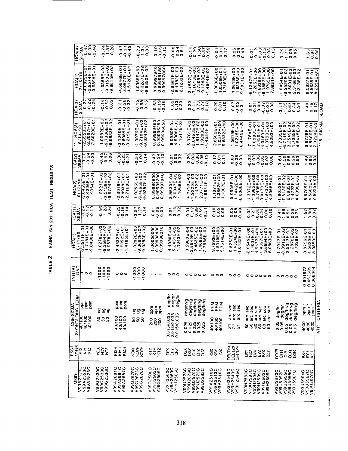TABLE 2 HAINS S/N 201 HCA TEST RESULTS

| 000 0 0 0<br>100 0 0 0<br>100 0 0 0 0<br>すへ<br>$\infty$<br>r<br>-<br>y.<br>ოቀო<br><b>000</b><br>$\overline{HCA(4)}$<br>$\infty$ $\sim$ $-$<br>SIGMA<br>$\begin{array}{c}\n 7,000 \\  -7,000 \\  -7,00\n \end{array}$<br>$5 - 8$<br>ဟ ထ ထ<br><b>NMUMM</b><br>रणस्<br>२००<br>$ \sim$<br>$\frac{5}{9} - \frac{3}{9}$<br>$3700$<br>$7000$<br>등용품<br>o vio<br>o o o<br>ن جون<br>$0.7 - 0.0$<br>ਕੁਕੁਝ<br>0-0-0-<br>00000<br>ဖြစ်စ<br>$\overrightarrow{0}$<br>-00<br>$- \cdot$<br><b>JE+03</b><br>G+02<br>G+02<br>---<br>ຕ໙໙<br>000<br>ຕຕ໙<br><b>DONDN</b><br>boo<br>$\circ$<br>$\overline{\phantom{m}}$<br>$\circ \circ \circ$<br>Ō<br>$\frac{5}{20}$<br>-0<br>$\frac{1}{2}$ $\frac{1}{2}$ $\frac{1}{2}$ $\frac{1}{2}$ $\frac{1}{2}$<br>$-1.0365E + 03$<br>$-9.3287E + 02$<br>$-9.8350E + 02$<br>- ~ ~ ~ ~<br>480<br>ဝံဝံဝံ<br>ພໍ່ພໍ່ພໍ<br>$-9$<br>o o o o o<br>.0006E+00<br>1,0506E+01<br>1,7163E+01<br>ել<br>Ազան<br>Մահա<br>ę<br>ဝုဒ္<br><b>មិទី អ្ន</b><br>ooooo<br>۰<br>942599794<br>918999816<br>90706699706<br>ဝဝဝ<br>မိုက်က<br>01347E-0<br>7.2053E-0<br>01365E-0<br>01365E-0<br>01365E-0<br>1.8931E-0<br>HCA(4)<br>7/16/90<br>7/3025E-<br>7.9574E-<br>2.9898E-<br>யயயம்<br>யயய<br>64546-<br>1.55296E-<br>1.3136E-<br>$\circ$<br>∞<br>S,<br>68466<br>05776<br>-51266<br>58233<br>5578844<br>558884<br>HCA<br>1.06196<br>1.63356<br>316891E<br>ទីភូមិ<br>ខ្ញុំភូមិ<br>198271<br>156354<br>25548<br>$\frac{1}{2}$ $\frac{1}{2}$ $\frac{1}{2}$ $\frac{1}{2}$ $\frac{1}{2}$ $\frac{1}{2}$ $\frac{1}{2}$ $\frac{1}{2}$ $\frac{1}{2}$ $\frac{1}{2}$ $\frac{1}{2}$ $\frac{1}{2}$ $\frac{1}{2}$ $\frac{1}{2}$ $\frac{1}{2}$ $\frac{1}{2}$ $\frac{1}{2}$ $\frac{1}{2}$ $\frac{1}{2}$ $\frac{1}{2}$ $\frac{1}{2}$ $\frac{1}{2}$<br>r.<br>7.77<br>₹.<br>တတ<br>ن م<br>$\overline{\phantom{0}}$<br>₩<br>ωN<br>000<br>7<br>$\sim$<br>$\overline{\phantom{a}}$<br>Ö.<br>÷⊲<br>400<br>÷<br><b>80 + 80</b><br>$\ddot{\phantom{1}}$<br>- ~ 0<br><b>commo</b><br>= c v<br>ທອທ<br>ოთდ<br>HCA(3)<br>SIGMA<br><b>NOG</b><br>$\frac{27}{0.0000}$<br>$\frac{23}{0.30}$<br>いいい<br>$\sim$ 10 $-$<br>−¤∘<br>55500<br>نىن ن<br>$-94$<br><b>2024-</b><br>$\overline{\circ}$ $\circ$ $\sim$<br>$0 - 0$<br>poo<br>oon<br>マト<br>000<br>00<br>000<br>۰<br>ခြင<br>$\overrightarrow{0}$<br>۰<br>$\circ$<br>೦೦೦೦೦೦<br>ო –<br>-<br>$\overline{\phantom{0}}$<br>っぺん<br>$- - -$<br>ຕ໙໙<br>0989460<br>196250<br>196850<br>マのの<br><b>mmnnn</b><br>$(100 + 100)$<br>$-2.6953E + 01$<br>$-2.2067E + 01$<br>$-2.6029E + 01$<br>្មប្អូច<br>ភូមិច្ច<br>000<br>Ş<br>88<br>- 222<br>000<br>$\overline{\phantom{0}}$<br>ငှံခဲ့ဝှ<br>စုံစုံစုံစုံ<br>HCA(3)<br>114/90<br>99999<br>۰<br>$\ddotmark$<br>$\rightarrow$<br>+<br>$\ddot{\phantom{1}}$<br>ဝဝဝ<br>မိမိမိ<br>٠<br>$\ddot{\phantom{1}}$<br>$\bullet$<br>ம்மம்ம்<br>шшш<br>ய்யய<br>шшш<br>ψшш<br>யயயய்<br>38831<br>10498<br>-60858<br>-21568<br>1086<br>90817<br>00768<br>171041<br>192428<br>64631<br>1.81471<br>1.92038<br>85028<br>00728<br>80328<br>5619<br>7.1764E<br>-3.6988E<br>-4.0460E<br>-4.0460E<br>ဖာ တ<br>ທດທທທ<br>82931<br>8.97281<br>6<br>ega<br>.0249<br>$-1.7336$<br>$-6.7416$<br>$-3.35445$<br>$-1.7036$<br>$-1.7036$<br>N<br>Ő.<br>후드<br>구후<br>ņ<br>۰<br>$\omega =$<br>ë<br>თთთ<br>φ<br>တ်ကု<br>တ<br>ოიო<br>$\frac{1}{2}$<br>7<br>$\circ \circ \circ$<br>n vi<br>$\sim$ $-$<br>ø<br>$\overline{\phantom{0}}$<br>$\overline{\phantom{0}}$<br>₹<br>$\overline{\phantom{m}}$<br><b>v</b><br>ت<br><b>3330</b><br>いへい<br>$\circ$ $\circ$ $\sim$<br>$0.51$<br>$0.14$<br>$\sim 40$<br>$-$ 0 $\alpha$<br>0.20<br>882<br>$\sim$ $ -$<br>HCA(2)<br>SIGMA<br>ოდო<br>$\frac{2}{3}$ $\frac{2}{3}$ $\frac{2}{3}$ $\frac{2}{3}$ $\frac{2}{3}$ $\frac{2}{3}$ $\frac{2}{3}$ $\frac{2}{3}$ $\frac{2}{3}$ $\frac{2}{3}$ $\frac{2}{3}$ $\frac{2}{3}$ $\frac{2}{3}$ $\frac{2}{3}$<br>र ००<br>$-$ 0000<br>oda<br>თოთ<br>$49 -$<br>೦೦೧<br>Eet<br>$\frac{1}{2}$<br>$\overline{\phantom{a}}$<br>Q<br>နစ္စ<br>000<br>$\circ$<br>۰<br>000<br>$\circ\circ\circ$<br>000<br>000<br>۰<br>$\circ$<br>0000<br>$\circ$<br>-00<br>ΙŦ<br>៰៷៷<br><b>sas</b><br>000<br>ᢦᠭᠭ<br>ოოიით<br>$+10A(2)$<br>$+6/12/90$<br>$+2.5459E+01$<br>$+2.4226E+01$<br>$+1.9954E+01$<br>$\frac{1}{2}$<br>588<br>$+1.3372E+00$<br>$-1.3982E+00$<br>$-3.7495E+00$<br>$-3.0179E+00$<br>$-1.9737E+00$<br>000<br>000<br><b>NNNN</b><br>$\frac{1}{2}$<br>$\frac{1}{2}$<br>$\frac{1}{2}$<br>$\frac{1}{2}$<br>$\frac{1}{2}$<br>$\frac{1}{2}$<br>$\frac{1}{2}$<br>$\frac{1}{2}$<br>$\frac{1}{2}$<br>$\frac{1}{2}$<br>$\frac{1}{2}$<br>$\frac{1}{2}$<br>$\frac{1}{2}$<br>$\frac{1}{2}$<br>$\frac{1}{2}$<br>$\frac{1}{2}$<br>$\frac{1}{2}$<br>ಕನಿತ<br><u>ọ ọ ọ</u><br>ööööö<br>wwwww<br>$\hat{\varphi}$<br>٠<br>$\rightarrow$<br>$\ddot{\bullet}$<br>oğğğğ<br>Mumm<br>∓∓∓<br>⊞⊞⊞<br>្នុំទឹង្គ<br>1,1827E+0<br>1,3862E+0<br>1,1007E+0<br>5.9505E-C<br>1.3442E+C<br>3.8366E+C<br>யயய்<br>шшш<br>3999952<br>266666<br>266666<br>5305<br>1947<br>0695<br>334<br>294<br>189166<br>1856 -<br>1881<br>102565<br>148651<br>192876<br>4.8790<br>1.9229E<br>2.3771E<br>2.3771E<br>1.80531<br>7.51308<br>7.47231<br>1.63908<br>97651<br>19608<br>199351<br>និតិ<br>N<br>ø<br>영호권<br>$ \sigma$ $\sigma$<br>$\frac{1}{20}$ $\alpha -$<br>200<br>—့် စုံ စုံ<br>000<br>s<br>ق<br>$\frac{1}{2}$<br>÷<br>÷<br>$-10 - 4$<br>$\frac{1}{2}$<br>マトロ<br>ဖ ဇာ ဇာ<br><b>1004</b><br>トト<br>– დ თ<br>HCA(1)<br>SIGMA<br><b>v</b><br>$-0.0$<br>57995<br>೦೧೦<br>မာ စာ တ<br>3700482<br><b>ي</b> ين ين<br>-∞--∞<br>n – –<br>P – –<br>$\sim \sim -$<br>$\sim$ 0 $\sim$<br>0000<br>oōō<br>Fạo<br>ੱਕ੍ਵ<br>dendri<br>nāö<br>- oo<br>$\circ$ -<br>$\circ$<br>Ö<br>$\sim$ $-$<br>۰<br>$\circ$<br>$\circ \circ \circ$<br>ಂಂ<br>00000<br>۰<br>$\frac{6/11/90}{-2.3511E+01}$<br>-1.7184E+01<br>-9.8430E+00<br>ຕ໙໙<br>0287E+03<br>03662E+02<br>03283E+02<br>000<br>すのへ<br>すのへいの<br>۰<br>$\overline{ }$<br>2.0549E+00<br>1.4037E+01<br>1.9477E+00<br>1.4397E+00<br>3.0663E+00<br>000<br><b>NNNN</b><br>000<br>835<br>5980E-04<br>1949E-03<br>105E-02<br>1986E-02<br>553<br>eee<br>52E-01<br>24E-00<br>32E-10<br>٠<br>$\ddotmark$<br>$\rightarrow$<br>oöööö<br>wwwww<br>1325+0<br>000000<br>ψ<br>មួយជុំ<br>ទីភូទី<br>0786-1<br>1594<br>1578<br>HCA(1)<br>199992<br>شقة<br>7693400<br>53400<br>76146<br>1.52521<br>16624E<br>1.4037<br>$-8.39128$<br>$-8.39128$<br>$2.53478$<br>$1.28788$<br>ğ<br>ន្តិទី<br>$\frac{8}{1}$<br>$\frac{8}{2}$<br>98<br>9<br>۰<br>$rac{4}{3}$<br>$\frac{2}{3}$ $\frac{2}{3}$ $\frac{2}{3}$<br>ဖ ထ<br>ರ ಎ<br>Φ<br>۰<br>₩<br>ن م<br>cas<br>$ \circ$<br>o<br>$\sim$<br>၈၈<br>4 W -<br>のべいーパ<br>က် ဖြ<br>$\overline{1}$<br>$\circ$<br>$\sigma$ – $-$<br>のマの<br>⊷<br>Ų,<br>÷<br>Ā<br>$\mathbf{a}$ $\mathbf{a}$<br>$rac{1}{2}$<br>INITIAL<br>1.891673<br>1452609<br>1008004<br>$\circ \circ \circ$<br>000<br>oŏ<br>$\circ$<br>èèè<br>888<br>boo<br>000<br>۰<br>$\circ$<br>$\circ$<br>$- -$<br>000<br>00000<br>000<br>$\circ \circ \circ$<br>000000<br>$\circ \circ \circ \circ \circ$<br>Ξ<br>$\overline{\phantom{0}}$<br>Ţ<br>τ<br>7<br>$\overline{\phantom{a}}$<br>÷<br>$\circ \circ \circ$<br>≩<br>nyeap<br>Algap<br>Algap<br>SHOHIAONG TEF<br>deg/hr/g<br>deg/hr/g<br>6.<br>Gruv6ap<br>Gruv6ap<br>pin<br>န့် နွ<br>pam<br>pom<br>ppm<br><b>NASA</b><br>RAAA<br>ONE SIGMA<br>Блцбөр<br>Gruubap<br>Gruupap<br>sec<br><b>Sec</b><br>sec<br>deg/hr<br>degihr<br>md<br>G<br>Sec<br>$rac{1}{2}$<br>ppm<br>ppm<br><b>Sec</b><br>Sec<br><b>Sec</b><br><b>E</b><br>Q<br>$\frac{6}{3}$<br>ppm<br>pom<br><u>ዋ</u> ም<br>555<br>0.015/0.035<br>0.015/0.035<br>0.015/0.035<br>arc<br>arc<br>ă<br>ăic<br>arc<br>ăc<br>arc<br>ai C<br>äc<br>40/100<br>107100<br>40/100<br>40/100<br>40/100<br>40/100<br>888<br>ននន<br>40/100<br>40/100<br>40/100<br>Soc<br>$\frac{8}{200}$<br>0.05<br>$\frac{80}{2}$<br>4000<br>88888<br>000000<br>00000<br>4000<br>င္စ<br>SO <sub>1</sub><br>$\overline{6}$<br>888<br>000<br>8<br>88<br>តតត<br>$\frac{1}{2}$<br><b>MNA</b><br><b>DELTYX</b><br>DELIZY<br><b>ACC</b><br>ЮZН<br>H<br>NH<br>12<br>н<br>КОХ<br>ğğ<br>NH<br>经<br>도<br>동주<br>X<br>₫<br>ĶIX<br>KIY<br>KIZ<br>šš<br>Œ<br>$\alpha$<br>š<br>ទ្ធនិង្គ<br>ă<br>DΙZ<br>g<br>DOFF<br>ξ<br>క్ష<br>$\mathbf{g}$<br>ZЯ<br>ðà<br>FF<br>6<br>g<br>ая<br>$\overline{3}$<br>$\tilde{\S}$<br>$\bar{\tilde{\varepsilon}}$<br>$\tilde{\mathbb{S}}$<br><b>DOSSZACKA</b><br>PCSSZA66A<br>DOSSZACKA<br>V99G2530C<br>V99G2533C<br>V99A2681C<br>V99A2684C<br>V99G2536C<br>V99A2687C<br>V99G2670C<br>V99G2673C<br>OSC3C306V<br>09025000<br>09025080<br>09025060<br>V99R2560C<br>V99R2563C<br>V93112566C<br>022852066<br>02252066<br>02252066<br>02252066<br>02253520<br>V99A2510C<br>V99A2513C<br>V99A2516C<br>39+2540C<br>20552H66A<br>20552H66A<br>V99H2590C<br>V99H2593C<br>V99H2596C<br>35092H66A<br>22092H66A<br>22092H66A<br>01990282<br>029565066<br>029665666<br>0296666666<br>5026511664<br>52965066A<br>52965066A<br>V00U5964<br><b>SID</b> |  |
|----------------------------------------------------------------------------------------------------------------------------------------------------------------------------------------------------------------------------------------------------------------------------------------------------------------------------------------------------------------------------------------------------------------------------------------------------------------------------------------------------------------------------------------------------------------------------------------------------------------------------------------------------------------------------------------------------------------------------------------------------------------------------------------------------------------------------------------------------------------------------------------------------------------------------------------------------------------------------------------------------------------------------------------------------------------------------------------------------------------------------------------------------------------------------------------------------------------------------------------------------------------------------------------------------------------------------------------------------------------------------------------------------------------------------------------------------------------------------------------------------------------------------------------------------------------------------------------------------------------------------------------------------------------------------------------------------------------------------------------------------------------------------------------------------------------------------------------------------------------------------------------------------------------------------------------------------------------------------------------------------------------------------------------------------------------------------------------------------------------------------------------------------------------------------------------------------------------------------------------------------------------------------------------------------------------------------------------------------------------------------------------------------------------------------------------------------------------------------------------------------------------------------------------------------------------------------------------------------------------------------------------------------------------------------------------------------------------------------------------------------------------------------------------------------------------------------------------------------------------------------------------------------------------------------------------------------------------------------------------------------------------------------------------------------------------------------------------------------------------------------------------------------------------------------------------------------------------------------------------------------------------------------------------------------------------------------------------------------------------------------------------------------------------------------------------------------------------------------------------------------------------------------------------------------------------------------------------------------------------------------------------------------------------------------------------------------------------------------------------------------------------------------------------------------------------------------------------------------------------------------------------------------------------------------------------------------------------------------------------------------------------------------------------------------------------------------------------------------------------------------------------------------------------------------------------------------------------------------------------------------------------------------------------------------------------------------------------------------------------------------------------------------------------------------------------------------------------------------------------------------------------------------------------------------------------------------------------------------------------------------------------------------------------------------------------------------------------------------------------------------------------------------------------------------------------------------------------------------------------------------------------------------------------------------------------------------------------------------------------------------------------------------------------------------------------------------------------------------------------------------------------------------------------------------------------------------------------------------------------------------------------------------------------------------------------------------------------------------------------------------------------------------------------------------------------------------------------------------------------------------------------------------------------------------------------------------------------------------------------------------------------------------------------------------------------------------------------------------------------------------------------------------------------------------------------------------------------------------------------------------------------------------------------------------------------------------------------------------------------------------------------------------------------------------------------------------------------------------------------------------------------------------------------------------------------------------------------------------------------------------------------------------------------------------------------------------------------------------------------------------------------------------------------------------------------------------------------------------------------------------------------------------------------------------------------------------------------------------------------------------------------------------------------------------------------------------------------------------------------------------------------------------------------------------------------------------------------------------------------------------------------------------------------------------------------------------------------------------------------------------------------------------------------------------------------------------------------------------------------------------------------------------------------------------------------------------------------------------------------------------------------------------------------------------------------------------------------------------------------------------------------------------------------------------------------------------------------------------------------------------------------------------------------------------------------------------------------------------------------------------------------------------------------------------------------------------------------------------------------------------------------------------------------------------------------------------------------------------------------------------------------------------------------------------------------------------------------------------------------------------------------------------------------------------------------------------------------------------------------------------------------------------------------------------------------------------------------------------------------------------------------------------------------------------------------------------------------------------------------------------------------------------------------------------------------------------------------------------------------------------------------------------------------------------------------------------------------------------------------------------------------------------------------------------------------------------------------------------------------------------------------------------------------------------------------------------------------------|--|
|                                                                                                                                                                                                                                                                                                                                                                                                                                                                                                                                                                                                                                                                                                                                                                                                                                                                                                                                                                                                                                                                                                                                                                                                                                                                                                                                                                                                                                                                                                                                                                                                                                                                                                                                                                                                                                                                                                                                                                                                                                                                                                                                                                                                                                                                                                                                                                                                                                                                                                                                                                                                                                                                                                                                                                                                                                                                                                                                                                                                                                                                                                                                                                                                                                                                                                                                                                                                                                                                                                                                                                                                                                                                                                                                                                                                                                                                                                                                                                                                                                                                                                                                                                                                                                                                                                                                                                                                                                                                                                                                                                                                                                                                                                                                                                                                                                                                                                                                                                                                                                                                                                                                                                                                                                                                                                                                                                                                                                                                                                                                                                                                                                                                                                                                                                                                                                                                                                                                                                                                                                                                                                                                                                                                                                                                                                                                                                                                                                                                                                                                                                                                                                                                                                                                                                                                                                                                                                                                                                                                                                                                                                                                                                                                                                                                                                                                                                                                                                                                                                                                                                                                                                                                                                                                                                                                                                                                                                                                                                                                                                                                                                                                                                                                                                                                                                                                                                                                                                                                                                                                                                                                                                                                                                                                                                                                                                              |  |
|                                                                                                                                                                                                                                                                                                                                                                                                                                                                                                                                                                                                                                                                                                                                                                                                                                                                                                                                                                                                                                                                                                                                                                                                                                                                                                                                                                                                                                                                                                                                                                                                                                                                                                                                                                                                                                                                                                                                                                                                                                                                                                                                                                                                                                                                                                                                                                                                                                                                                                                                                                                                                                                                                                                                                                                                                                                                                                                                                                                                                                                                                                                                                                                                                                                                                                                                                                                                                                                                                                                                                                                                                                                                                                                                                                                                                                                                                                                                                                                                                                                                                                                                                                                                                                                                                                                                                                                                                                                                                                                                                                                                                                                                                                                                                                                                                                                                                                                                                                                                                                                                                                                                                                                                                                                                                                                                                                                                                                                                                                                                                                                                                                                                                                                                                                                                                                                                                                                                                                                                                                                                                                                                                                                                                                                                                                                                                                                                                                                                                                                                                                                                                                                                                                                                                                                                                                                                                                                                                                                                                                                                                                                                                                                                                                                                                                                                                                                                                                                                                                                                                                                                                                                                                                                                                                                                                                                                                                                                                                                                                                                                                                                                                                                                                                                                                                                                                                                                                                                                                                                                                                                                                                                                                                                                                                                                                                              |  |
|                                                                                                                                                                                                                                                                                                                                                                                                                                                                                                                                                                                                                                                                                                                                                                                                                                                                                                                                                                                                                                                                                                                                                                                                                                                                                                                                                                                                                                                                                                                                                                                                                                                                                                                                                                                                                                                                                                                                                                                                                                                                                                                                                                                                                                                                                                                                                                                                                                                                                                                                                                                                                                                                                                                                                                                                                                                                                                                                                                                                                                                                                                                                                                                                                                                                                                                                                                                                                                                                                                                                                                                                                                                                                                                                                                                                                                                                                                                                                                                                                                                                                                                                                                                                                                                                                                                                                                                                                                                                                                                                                                                                                                                                                                                                                                                                                                                                                                                                                                                                                                                                                                                                                                                                                                                                                                                                                                                                                                                                                                                                                                                                                                                                                                                                                                                                                                                                                                                                                                                                                                                                                                                                                                                                                                                                                                                                                                                                                                                                                                                                                                                                                                                                                                                                                                                                                                                                                                                                                                                                                                                                                                                                                                                                                                                                                                                                                                                                                                                                                                                                                                                                                                                                                                                                                                                                                                                                                                                                                                                                                                                                                                                                                                                                                                                                                                                                                                                                                                                                                                                                                                                                                                                                                                                                                                                                                                              |  |
|                                                                                                                                                                                                                                                                                                                                                                                                                                                                                                                                                                                                                                                                                                                                                                                                                                                                                                                                                                                                                                                                                                                                                                                                                                                                                                                                                                                                                                                                                                                                                                                                                                                                                                                                                                                                                                                                                                                                                                                                                                                                                                                                                                                                                                                                                                                                                                                                                                                                                                                                                                                                                                                                                                                                                                                                                                                                                                                                                                                                                                                                                                                                                                                                                                                                                                                                                                                                                                                                                                                                                                                                                                                                                                                                                                                                                                                                                                                                                                                                                                                                                                                                                                                                                                                                                                                                                                                                                                                                                                                                                                                                                                                                                                                                                                                                                                                                                                                                                                                                                                                                                                                                                                                                                                                                                                                                                                                                                                                                                                                                                                                                                                                                                                                                                                                                                                                                                                                                                                                                                                                                                                                                                                                                                                                                                                                                                                                                                                                                                                                                                                                                                                                                                                                                                                                                                                                                                                                                                                                                                                                                                                                                                                                                                                                                                                                                                                                                                                                                                                                                                                                                                                                                                                                                                                                                                                                                                                                                                                                                                                                                                                                                                                                                                                                                                                                                                                                                                                                                                                                                                                                                                                                                                                                                                                                                                                              |  |
|                                                                                                                                                                                                                                                                                                                                                                                                                                                                                                                                                                                                                                                                                                                                                                                                                                                                                                                                                                                                                                                                                                                                                                                                                                                                                                                                                                                                                                                                                                                                                                                                                                                                                                                                                                                                                                                                                                                                                                                                                                                                                                                                                                                                                                                                                                                                                                                                                                                                                                                                                                                                                                                                                                                                                                                                                                                                                                                                                                                                                                                                                                                                                                                                                                                                                                                                                                                                                                                                                                                                                                                                                                                                                                                                                                                                                                                                                                                                                                                                                                                                                                                                                                                                                                                                                                                                                                                                                                                                                                                                                                                                                                                                                                                                                                                                                                                                                                                                                                                                                                                                                                                                                                                                                                                                                                                                                                                                                                                                                                                                                                                                                                                                                                                                                                                                                                                                                                                                                                                                                                                                                                                                                                                                                                                                                                                                                                                                                                                                                                                                                                                                                                                                                                                                                                                                                                                                                                                                                                                                                                                                                                                                                                                                                                                                                                                                                                                                                                                                                                                                                                                                                                                                                                                                                                                                                                                                                                                                                                                                                                                                                                                                                                                                                                                                                                                                                                                                                                                                                                                                                                                                                                                                                                                                                                                                                                              |  |
|                                                                                                                                                                                                                                                                                                                                                                                                                                                                                                                                                                                                                                                                                                                                                                                                                                                                                                                                                                                                                                                                                                                                                                                                                                                                                                                                                                                                                                                                                                                                                                                                                                                                                                                                                                                                                                                                                                                                                                                                                                                                                                                                                                                                                                                                                                                                                                                                                                                                                                                                                                                                                                                                                                                                                                                                                                                                                                                                                                                                                                                                                                                                                                                                                                                                                                                                                                                                                                                                                                                                                                                                                                                                                                                                                                                                                                                                                                                                                                                                                                                                                                                                                                                                                                                                                                                                                                                                                                                                                                                                                                                                                                                                                                                                                                                                                                                                                                                                                                                                                                                                                                                                                                                                                                                                                                                                                                                                                                                                                                                                                                                                                                                                                                                                                                                                                                                                                                                                                                                                                                                                                                                                                                                                                                                                                                                                                                                                                                                                                                                                                                                                                                                                                                                                                                                                                                                                                                                                                                                                                                                                                                                                                                                                                                                                                                                                                                                                                                                                                                                                                                                                                                                                                                                                                                                                                                                                                                                                                                                                                                                                                                                                                                                                                                                                                                                                                                                                                                                                                                                                                                                                                                                                                                                                                                                                                                              |  |
|                                                                                                                                                                                                                                                                                                                                                                                                                                                                                                                                                                                                                                                                                                                                                                                                                                                                                                                                                                                                                                                                                                                                                                                                                                                                                                                                                                                                                                                                                                                                                                                                                                                                                                                                                                                                                                                                                                                                                                                                                                                                                                                                                                                                                                                                                                                                                                                                                                                                                                                                                                                                                                                                                                                                                                                                                                                                                                                                                                                                                                                                                                                                                                                                                                                                                                                                                                                                                                                                                                                                                                                                                                                                                                                                                                                                                                                                                                                                                                                                                                                                                                                                                                                                                                                                                                                                                                                                                                                                                                                                                                                                                                                                                                                                                                                                                                                                                                                                                                                                                                                                                                                                                                                                                                                                                                                                                                                                                                                                                                                                                                                                                                                                                                                                                                                                                                                                                                                                                                                                                                                                                                                                                                                                                                                                                                                                                                                                                                                                                                                                                                                                                                                                                                                                                                                                                                                                                                                                                                                                                                                                                                                                                                                                                                                                                                                                                                                                                                                                                                                                                                                                                                                                                                                                                                                                                                                                                                                                                                                                                                                                                                                                                                                                                                                                                                                                                                                                                                                                                                                                                                                                                                                                                                                                                                                                                                              |  |
|                                                                                                                                                                                                                                                                                                                                                                                                                                                                                                                                                                                                                                                                                                                                                                                                                                                                                                                                                                                                                                                                                                                                                                                                                                                                                                                                                                                                                                                                                                                                                                                                                                                                                                                                                                                                                                                                                                                                                                                                                                                                                                                                                                                                                                                                                                                                                                                                                                                                                                                                                                                                                                                                                                                                                                                                                                                                                                                                                                                                                                                                                                                                                                                                                                                                                                                                                                                                                                                                                                                                                                                                                                                                                                                                                                                                                                                                                                                                                                                                                                                                                                                                                                                                                                                                                                                                                                                                                                                                                                                                                                                                                                                                                                                                                                                                                                                                                                                                                                                                                                                                                                                                                                                                                                                                                                                                                                                                                                                                                                                                                                                                                                                                                                                                                                                                                                                                                                                                                                                                                                                                                                                                                                                                                                                                                                                                                                                                                                                                                                                                                                                                                                                                                                                                                                                                                                                                                                                                                                                                                                                                                                                                                                                                                                                                                                                                                                                                                                                                                                                                                                                                                                                                                                                                                                                                                                                                                                                                                                                                                                                                                                                                                                                                                                                                                                                                                                                                                                                                                                                                                                                                                                                                                                                                                                                                                                              |  |
|                                                                                                                                                                                                                                                                                                                                                                                                                                                                                                                                                                                                                                                                                                                                                                                                                                                                                                                                                                                                                                                                                                                                                                                                                                                                                                                                                                                                                                                                                                                                                                                                                                                                                                                                                                                                                                                                                                                                                                                                                                                                                                                                                                                                                                                                                                                                                                                                                                                                                                                                                                                                                                                                                                                                                                                                                                                                                                                                                                                                                                                                                                                                                                                                                                                                                                                                                                                                                                                                                                                                                                                                                                                                                                                                                                                                                                                                                                                                                                                                                                                                                                                                                                                                                                                                                                                                                                                                                                                                                                                                                                                                                                                                                                                                                                                                                                                                                                                                                                                                                                                                                                                                                                                                                                                                                                                                                                                                                                                                                                                                                                                                                                                                                                                                                                                                                                                                                                                                                                                                                                                                                                                                                                                                                                                                                                                                                                                                                                                                                                                                                                                                                                                                                                                                                                                                                                                                                                                                                                                                                                                                                                                                                                                                                                                                                                                                                                                                                                                                                                                                                                                                                                                                                                                                                                                                                                                                                                                                                                                                                                                                                                                                                                                                                                                                                                                                                                                                                                                                                                                                                                                                                                                                                                                                                                                                                                              |  |
|                                                                                                                                                                                                                                                                                                                                                                                                                                                                                                                                                                                                                                                                                                                                                                                                                                                                                                                                                                                                                                                                                                                                                                                                                                                                                                                                                                                                                                                                                                                                                                                                                                                                                                                                                                                                                                                                                                                                                                                                                                                                                                                                                                                                                                                                                                                                                                                                                                                                                                                                                                                                                                                                                                                                                                                                                                                                                                                                                                                                                                                                                                                                                                                                                                                                                                                                                                                                                                                                                                                                                                                                                                                                                                                                                                                                                                                                                                                                                                                                                                                                                                                                                                                                                                                                                                                                                                                                                                                                                                                                                                                                                                                                                                                                                                                                                                                                                                                                                                                                                                                                                                                                                                                                                                                                                                                                                                                                                                                                                                                                                                                                                                                                                                                                                                                                                                                                                                                                                                                                                                                                                                                                                                                                                                                                                                                                                                                                                                                                                                                                                                                                                                                                                                                                                                                                                                                                                                                                                                                                                                                                                                                                                                                                                                                                                                                                                                                                                                                                                                                                                                                                                                                                                                                                                                                                                                                                                                                                                                                                                                                                                                                                                                                                                                                                                                                                                                                                                                                                                                                                                                                                                                                                                                                                                                                                                                              |  |
|                                                                                                                                                                                                                                                                                                                                                                                                                                                                                                                                                                                                                                                                                                                                                                                                                                                                                                                                                                                                                                                                                                                                                                                                                                                                                                                                                                                                                                                                                                                                                                                                                                                                                                                                                                                                                                                                                                                                                                                                                                                                                                                                                                                                                                                                                                                                                                                                                                                                                                                                                                                                                                                                                                                                                                                                                                                                                                                                                                                                                                                                                                                                                                                                                                                                                                                                                                                                                                                                                                                                                                                                                                                                                                                                                                                                                                                                                                                                                                                                                                                                                                                                                                                                                                                                                                                                                                                                                                                                                                                                                                                                                                                                                                                                                                                                                                                                                                                                                                                                                                                                                                                                                                                                                                                                                                                                                                                                                                                                                                                                                                                                                                                                                                                                                                                                                                                                                                                                                                                                                                                                                                                                                                                                                                                                                                                                                                                                                                                                                                                                                                                                                                                                                                                                                                                                                                                                                                                                                                                                                                                                                                                                                                                                                                                                                                                                                                                                                                                                                                                                                                                                                                                                                                                                                                                                                                                                                                                                                                                                                                                                                                                                                                                                                                                                                                                                                                                                                                                                                                                                                                                                                                                                                                                                                                                                                                              |  |
|                                                                                                                                                                                                                                                                                                                                                                                                                                                                                                                                                                                                                                                                                                                                                                                                                                                                                                                                                                                                                                                                                                                                                                                                                                                                                                                                                                                                                                                                                                                                                                                                                                                                                                                                                                                                                                                                                                                                                                                                                                                                                                                                                                                                                                                                                                                                                                                                                                                                                                                                                                                                                                                                                                                                                                                                                                                                                                                                                                                                                                                                                                                                                                                                                                                                                                                                                                                                                                                                                                                                                                                                                                                                                                                                                                                                                                                                                                                                                                                                                                                                                                                                                                                                                                                                                                                                                                                                                                                                                                                                                                                                                                                                                                                                                                                                                                                                                                                                                                                                                                                                                                                                                                                                                                                                                                                                                                                                                                                                                                                                                                                                                                                                                                                                                                                                                                                                                                                                                                                                                                                                                                                                                                                                                                                                                                                                                                                                                                                                                                                                                                                                                                                                                                                                                                                                                                                                                                                                                                                                                                                                                                                                                                                                                                                                                                                                                                                                                                                                                                                                                                                                                                                                                                                                                                                                                                                                                                                                                                                                                                                                                                                                                                                                                                                                                                                                                                                                                                                                                                                                                                                                                                                                                                                                                                                                                                              |  |

 $\frac{1}{4}$ 

Ť

 $\frac{1}{2}$ 

 $\mathbf{r}$  . The maximum contribution of  $\mathbf{r}$ 

 $\overline{a}$ 

Ė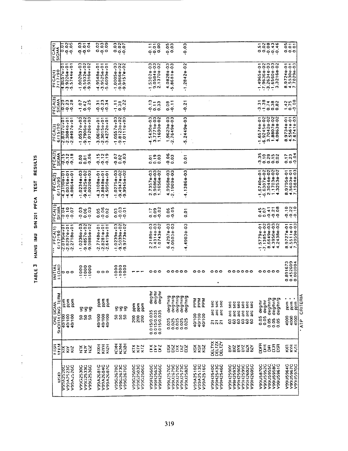TABLE 3 HAINS IMU S/N 201 PFCA TEST RESULTS

 $\frac{1}{2}$ 

Î,

 $\frac{1}{2}$  $\frac{1}{2}$ 

 $\frac{1}{\sqrt{2}}$ 

 $\frac{1}{4}\left(\frac{1}{2}\right)^{2}\left(\frac{1}{2}\right)^{2}$  and  $\frac{1}{2}\left(\frac{1}{2}\right)^{2}$ 

| ົ<br>$0.02$<br>$0.03$<br>$0.09$<br>0.004<br>oar<br>$\begin{array}{c} 0.05 \\ 0.01 \\ 0.01 \end{array}$<br>$\frac{1}{200}$<br>ი ო<br>CO.<br>हि<br>PFCA(4)<br>SIGMA<br>$\frac{33}{99}$<br>ŏŏŏ<br>¤oo<br>$\frac{0}{0}$<br>؋<br><b>m N N</b><br>- ~ ~ ~ ~<br>ຕ ໙ ໙<br>$-1.53028 - 03$<br>9.05848-03<br>2.13708-02<br>$- - -$<br>0.03<br>$\sim$<br>$-3.92260 + 01$<br>$-5.57440 + 01$<br>$1.9548001$<br>$1.95250000$<br>0.0/570.1<br>00200+03<br>1,59320+02<br>1,93160+02<br>1.0005e+03<br>9.5866e+02<br>9.9157e+02<br>$-1.49659 - 01$<br>$-2.26369 - 02$<br>$-0.63696 - 02$<br>$-0.36369 - 03$<br>۰<br>$-1.28428 - 0$<br>PFCA(4)<br>7/17/90<br>۰<br>ق<br>4,0828<br>$\bar{z}$<br><b>N00</b><br>anir<br>ari<br>ణ<br>O<br>—် စုံ စုံ<br>فاشفه<br>PFCA(3)<br>SIGMA<br>$\epsilon$<br>ece<br>Bus<br>Bus<br>$1.07$<br>$0.42$<br>$0.25$<br>⊷ ∞<br>$\overline{0}$<br>ొ<br>₩<br>$\frac{183}{100}$<br>7.73<br>↽<br>0.08<br>rezes<br>Frood<br>$1,42$<br>$0.75$<br>$0.08$<br>odo<br>edo<br>$\ddot{c}$<br>$\frac{2}{9}$<br>$\frac{1}{2}$<br>π<br>$\overline{\phantom{0}}$<br>$-0.0000$<br>0.01<br>ה מהי<br>ຕ໙ຕ<br>4.5430e-03<br>3.7771e-03<br>1.1690e-02<br>ოო<br>2449e-03<br>Ģ<br>$\frac{-2.87070101}{-2.30840101}$<br>$-1.55748 - 01$<br>$-6.92458 - 02$<br>$3.70428 - 02$<br>$1.88078 - 02$<br>$1.8638 - 02$<br>$-1.05370 + 03$<br>$-9.79060 + 02$<br>$-1.01260 + 03$<br>$-3.06160 + 01$<br>$-2.30150 + 01$<br>$-3.42720 + 01$<br>$0.05570 + 0.3$<br>$0.81230 + 0.25$<br>1.9623e-03<br>2.7649e-03<br>6/15/90<br>897348-<br>4.55618-<br>7.67418-<br>PFCA(3)<br>in,<br>$\ddot{\sigma}$ –<br>7<br>7<br>PFCA(2)<br>SIGMA<br><b>222222</b><br>222222<br>₹<br>ω<br>e e e e<br>919<br>919<br>0.06<br>raș<br>Lin<br>Lin<br>0.03<br>0.03<br>0.09<br>$\begin{array}{c} 17 \\ 0.23 \\ 0.04 \end{array}$<br>— თ ო<br>CO.<br>$\overline{Q}$<br>ē<br>$0 - 0$<br>ە ب<br>o<br><b>NNNN</b><br>$\begin{bmatrix} 1 & 0 & 0 \\ 0 & 0 & 0 \\ 0 & 0 & 0 \end{bmatrix}$<br>$-1.02750 + 03$<br>$-9.49470 + 02$<br>$-9.99450 + 02$<br>2.7357e-03<br>9.9686e-03<br>1.1656e-02<br>4.99688-03<br>$-4.1386e - 03$<br>$-0.1$<br>$1.0234 + 03$<br>$0.48258 + 02$<br>$1.00208 + 03$<br>$.00760 + 01$<br>$\overline{\phantom{0}}$<br>$\overline{\phantom{0}}$<br>$.31080 + 01$<br>10.000115.2<br>$-1.6740e-01$<br>$-6.6307e-02$<br>$2.3044e-02$<br>$1.1703e-02$<br>$1.1703e-02$<br>1,88488+01<br>1,50508+01<br>08640+0<br>PFCA(2)<br>6/13/90<br>1,97956<br>1,56036<br>1,15846<br>$\alpha$ $\sigma$ $\sim$<br>۳<br>۳<br>စု<br>$\overline{\cdot}$<br>÷<br>$\hat{\boldsymbol{\gamma}}$<br>۳<br>7<br>PFCA(1)<br>SIGMA<br>0 N O<br>Ø<br>$0.45$<br>$0.07$<br>0.05<br>$\frac{25}{20}$<br>$-0.06$<br>0.02<br>0.03<br>$\ddot{\circ}$<br>335<br>099<br>$0.17$<br>$0.09$<br>°5<br>0.02<br>$\overline{0}$<br>$\frac{1}{2}$ $\frac{1}{2}$<br>edde<br>Ege<br>õ<br>Ģ<br>2.2189e-03<br>9.4314e-03<br>1.0743e-02<br>$-1.5779e-01$<br>$-7.1385e-02$<br>$8.6649e-03$<br>$4.3950e-03$<br>438e-02<br>8.97278-01<br>4.55118-01<br>7.30598-03<br>50N<br>$\sim$ $\sim$ $\sim$<br>ოო<br>4.49030-03<br>---<br>$\overline{\phantom{0}}$<br>$\frac{2.81966601}{2.8297001}$<br>0236e+03<br>4857e+02<br>509886e+02<br>$-2.77480 + 01$<br>$-2.82810 + 01$<br>$-2.64190 + 01$<br>1.0239e+03<br>3.5039e+02<br>3.9773e+02<br>$-0.0$<br>$\frac{PFCA(1)}{6/12/90}$<br>1,4297<br>$\frac{1}{3}$<br>$\sim$ $\sim$<br>დ ო<br>$ \sigma$ $\sigma$<br>ငှက်တံ<br>0.891673<br>0.452609<br>0.008004<br><b>UNLINI</b><br>888<br>888<br>000<br>$\overline{9}$<br>$\bullet$<br>۰<br>。。。。<br>000<br>000<br>000000<br>00000<br>000<br>000<br>boo<br>$\circ$<br>۰<br>۳<br>$\overline{\cdot}$<br>7<br>$\overline{\cdot}$<br>7<br>7<br>$\bullet$<br>anjeap<br>Angap<br>Angap<br>SHORITA ONG TERM<br>CRITERIA<br>deg/t<br><b>Girliga</b><br>Girliga<br>Girliga<br>Girliga<br>Girliga<br>Syuyêap<br>Geliya<br>Geliya<br>ppm<br><b>APA</b><br>A<br>A<br>A<br>E<br>C<br><b>Rad</b><br>ppm<br>marid<br>List<br>E<br>mdd<br>deg/hr<br>deg/hr<br><b>Sec</b><br>š<br>soc<br>ppm<br>es<br>Sec<br>sec<br>sec<br>pm<br>R<br>pom<br>šc<br><b>ONE SIGMA</b><br>sec<br>$\tilde{\mathbf{g}}$<br>pom<br>$\frac{E}{\Delta}$<br>ξ<br>g g<br>5<br>5<br>g<br>arc<br>ă<br>arc<br>0.015/0.035<br>0.015/0.035<br>0.015/0.035<br>arc<br>ă<br>ă<br>arc<br>arc<br>ă<br>40/100<br>40/100<br>40/100<br>40/100<br>40/100<br>40/100<br>101100<br>40/100<br>40/100<br>ននន<br>ននន<br>g<br><u>ಕ್ಷ</u><br>0.05<br>$rac{300}{4000}$<br>$rac{0}{4}$<br>0.05<br>88888<br>88888<br>00000<br>888<br>000<br>នន<br>8<br>8<br>S.<br>ဒ္ဓ<br>ATP<br>តគត<br>DELTZY<br>DELTZY<br>DELTYX<br>ким<br>F<br>B<br><b>KON</b><br>$\tilde{\tilde{z}}$<br>ន្ទ<br><b>FSSR</b><br>FROM<br>5<br>ξŞ<br><b>KON</b><br><b>KIX</b><br>KIYH<br>KIZ<br>č<br>$\overline{a}$<br>88<br>8<br><u>ត្តនិង</u><br>ar<br>D<br>KIZIK<br>КTX<br>$\frac{1}{2}$<br>Σ<br>š<br>ΒN<br>ăš<br>δK<br>DΙZ<br>g<br>8g<br>8<br>इ<br>ğ<br>$\boldsymbol{\Sigma}$<br>Ř<br>000035322<br>00035552060<br>00035552060<br>00059580<br>202651166A<br>22965066A<br>22965066A<br>V99U5870C<br>22852066A<br>20152066A<br>20152066A<br>V99A2510C<br>V99A2513C<br>CCCCOA2516C<br>V99H2543C<br>V99H2546C<br>20652H66A<br>V99H2596C<br>V99H2599C<br>V99H2602C<br>V99H2605C<br>V99G2500C<br>V99G2503C<br>V99R2560C<br>V99R2563C<br>V99R2566C<br>V99U2576C<br>V99U2679C<br>V99H2540C<br>V00A2681C<br>V99A2684C<br>V99G2670C<br>V99G2673C<br>V99G2676C<br>V99G2506C<br>V99G2536C<br>V99A2687C<br><b>DESTANTS</b><br>000 V5323C<br>000 V5326C<br>V99G2530C<br>V99G2533C<br><b>NSD</b> |
|-----------------------------------------------------------------------------------------------------------------------------------------------------------------------------------------------------------------------------------------------------------------------------------------------------------------------------------------------------------------------------------------------------------------------------------------------------------------------------------------------------------------------------------------------------------------------------------------------------------------------------------------------------------------------------------------------------------------------------------------------------------------------------------------------------------------------------------------------------------------------------------------------------------------------------------------------------------------------------------------------------------------------------------------------------------------------------------------------------------------------------------------------------------------------------------------------------------------------------------------------------------------------------------------------------------------------------------------------------------------------------------------------------------------------------------------------------------------------------------------------------------------------------------------------------------------------------------------------------------------------------------------------------------------------------------------------------------------------------------------------------------------------------------------------------------------------------------------------------------------------------------------------------------------------------------------------------------------------------------------------------------------------------------------------------------------------------------------------------------------------------------------------------------------------------------------------------------------------------------------------------------------------------------------------------------------------------------------------------------------------------------------------------------------------------------------------------------------------------------------------------------------------------------------------------------------------------------------------------------------------------------------------------------------------------------------------------------------------------------------------------------------------------------------------------------------------------------------------------------------------------------------------------------------------------------------------------------------------------------------------------------------------------------------------------------------------------------------------------------------------------------------------------------------------------------------------------------------------------------------------------------------------------------------------------------------------------------------------------------------------------------------------------------------------------------------------------------------------------------------------------------------------------------------------------------------------------------------------------------------------------------------------------------------------------------------------------------------------------------------------------------------------------------------------------------------------------------------------------------------------------------------------------------------------------------------------------------------------------------------------------------------------------------------------------------------------------------------------------------------------------------------------------------------------------------------------------------------------------------------------------------------------------------------------------------------------------------------------------------------------------------------------------------------------------------------------------------------------------------------------------------------------------------------------------------------------------------------------------------------------------------------------------------------------------------------------------------------------------------------------------------------------------------------------------------------------------------------------------------------------------------------------------------------------------------------------------------------------------------------------------------------------------------------------------------------------------------------------------------------------------------------------------------------------------------------------------------------------------------------------------------------------------------------------------------------------------------------------------------------------------------------------------------------------------------------------------------------------|
|                                                                                                                                                                                                                                                                                                                                                                                                                                                                                                                                                                                                                                                                                                                                                                                                                                                                                                                                                                                                                                                                                                                                                                                                                                                                                                                                                                                                                                                                                                                                                                                                                                                                                                                                                                                                                                                                                                                                                                                                                                                                                                                                                                                                                                                                                                                                                                                                                                                                                                                                                                                                                                                                                                                                                                                                                                                                                                                                                                                                                                                                                                                                                                                                                                                                                                                                                                                                                                                                                                                                                                                                                                                                                                                                                                                                                                                                                                                                                                                                                                                                                                                                                                                                                                                                                                                                                                                                                                                                                                                                                                                                                                                                                                                                                                                                                                                                                                                                                                                                                                                                                                                                                                                                                                                                                                                                                                                                                                                                       |
|                                                                                                                                                                                                                                                                                                                                                                                                                                                                                                                                                                                                                                                                                                                                                                                                                                                                                                                                                                                                                                                                                                                                                                                                                                                                                                                                                                                                                                                                                                                                                                                                                                                                                                                                                                                                                                                                                                                                                                                                                                                                                                                                                                                                                                                                                                                                                                                                                                                                                                                                                                                                                                                                                                                                                                                                                                                                                                                                                                                                                                                                                                                                                                                                                                                                                                                                                                                                                                                                                                                                                                                                                                                                                                                                                                                                                                                                                                                                                                                                                                                                                                                                                                                                                                                                                                                                                                                                                                                                                                                                                                                                                                                                                                                                                                                                                                                                                                                                                                                                                                                                                                                                                                                                                                                                                                                                                                                                                                                                       |
|                                                                                                                                                                                                                                                                                                                                                                                                                                                                                                                                                                                                                                                                                                                                                                                                                                                                                                                                                                                                                                                                                                                                                                                                                                                                                                                                                                                                                                                                                                                                                                                                                                                                                                                                                                                                                                                                                                                                                                                                                                                                                                                                                                                                                                                                                                                                                                                                                                                                                                                                                                                                                                                                                                                                                                                                                                                                                                                                                                                                                                                                                                                                                                                                                                                                                                                                                                                                                                                                                                                                                                                                                                                                                                                                                                                                                                                                                                                                                                                                                                                                                                                                                                                                                                                                                                                                                                                                                                                                                                                                                                                                                                                                                                                                                                                                                                                                                                                                                                                                                                                                                                                                                                                                                                                                                                                                                                                                                                                                       |
|                                                                                                                                                                                                                                                                                                                                                                                                                                                                                                                                                                                                                                                                                                                                                                                                                                                                                                                                                                                                                                                                                                                                                                                                                                                                                                                                                                                                                                                                                                                                                                                                                                                                                                                                                                                                                                                                                                                                                                                                                                                                                                                                                                                                                                                                                                                                                                                                                                                                                                                                                                                                                                                                                                                                                                                                                                                                                                                                                                                                                                                                                                                                                                                                                                                                                                                                                                                                                                                                                                                                                                                                                                                                                                                                                                                                                                                                                                                                                                                                                                                                                                                                                                                                                                                                                                                                                                                                                                                                                                                                                                                                                                                                                                                                                                                                                                                                                                                                                                                                                                                                                                                                                                                                                                                                                                                                                                                                                                                                       |
|                                                                                                                                                                                                                                                                                                                                                                                                                                                                                                                                                                                                                                                                                                                                                                                                                                                                                                                                                                                                                                                                                                                                                                                                                                                                                                                                                                                                                                                                                                                                                                                                                                                                                                                                                                                                                                                                                                                                                                                                                                                                                                                                                                                                                                                                                                                                                                                                                                                                                                                                                                                                                                                                                                                                                                                                                                                                                                                                                                                                                                                                                                                                                                                                                                                                                                                                                                                                                                                                                                                                                                                                                                                                                                                                                                                                                                                                                                                                                                                                                                                                                                                                                                                                                                                                                                                                                                                                                                                                                                                                                                                                                                                                                                                                                                                                                                                                                                                                                                                                                                                                                                                                                                                                                                                                                                                                                                                                                                                                       |
|                                                                                                                                                                                                                                                                                                                                                                                                                                                                                                                                                                                                                                                                                                                                                                                                                                                                                                                                                                                                                                                                                                                                                                                                                                                                                                                                                                                                                                                                                                                                                                                                                                                                                                                                                                                                                                                                                                                                                                                                                                                                                                                                                                                                                                                                                                                                                                                                                                                                                                                                                                                                                                                                                                                                                                                                                                                                                                                                                                                                                                                                                                                                                                                                                                                                                                                                                                                                                                                                                                                                                                                                                                                                                                                                                                                                                                                                                                                                                                                                                                                                                                                                                                                                                                                                                                                                                                                                                                                                                                                                                                                                                                                                                                                                                                                                                                                                                                                                                                                                                                                                                                                                                                                                                                                                                                                                                                                                                                                                       |
|                                                                                                                                                                                                                                                                                                                                                                                                                                                                                                                                                                                                                                                                                                                                                                                                                                                                                                                                                                                                                                                                                                                                                                                                                                                                                                                                                                                                                                                                                                                                                                                                                                                                                                                                                                                                                                                                                                                                                                                                                                                                                                                                                                                                                                                                                                                                                                                                                                                                                                                                                                                                                                                                                                                                                                                                                                                                                                                                                                                                                                                                                                                                                                                                                                                                                                                                                                                                                                                                                                                                                                                                                                                                                                                                                                                                                                                                                                                                                                                                                                                                                                                                                                                                                                                                                                                                                                                                                                                                                                                                                                                                                                                                                                                                                                                                                                                                                                                                                                                                                                                                                                                                                                                                                                                                                                                                                                                                                                                                       |
|                                                                                                                                                                                                                                                                                                                                                                                                                                                                                                                                                                                                                                                                                                                                                                                                                                                                                                                                                                                                                                                                                                                                                                                                                                                                                                                                                                                                                                                                                                                                                                                                                                                                                                                                                                                                                                                                                                                                                                                                                                                                                                                                                                                                                                                                                                                                                                                                                                                                                                                                                                                                                                                                                                                                                                                                                                                                                                                                                                                                                                                                                                                                                                                                                                                                                                                                                                                                                                                                                                                                                                                                                                                                                                                                                                                                                                                                                                                                                                                                                                                                                                                                                                                                                                                                                                                                                                                                                                                                                                                                                                                                                                                                                                                                                                                                                                                                                                                                                                                                                                                                                                                                                                                                                                                                                                                                                                                                                                                                       |
|                                                                                                                                                                                                                                                                                                                                                                                                                                                                                                                                                                                                                                                                                                                                                                                                                                                                                                                                                                                                                                                                                                                                                                                                                                                                                                                                                                                                                                                                                                                                                                                                                                                                                                                                                                                                                                                                                                                                                                                                                                                                                                                                                                                                                                                                                                                                                                                                                                                                                                                                                                                                                                                                                                                                                                                                                                                                                                                                                                                                                                                                                                                                                                                                                                                                                                                                                                                                                                                                                                                                                                                                                                                                                                                                                                                                                                                                                                                                                                                                                                                                                                                                                                                                                                                                                                                                                                                                                                                                                                                                                                                                                                                                                                                                                                                                                                                                                                                                                                                                                                                                                                                                                                                                                                                                                                                                                                                                                                                                       |
|                                                                                                                                                                                                                                                                                                                                                                                                                                                                                                                                                                                                                                                                                                                                                                                                                                                                                                                                                                                                                                                                                                                                                                                                                                                                                                                                                                                                                                                                                                                                                                                                                                                                                                                                                                                                                                                                                                                                                                                                                                                                                                                                                                                                                                                                                                                                                                                                                                                                                                                                                                                                                                                                                                                                                                                                                                                                                                                                                                                                                                                                                                                                                                                                                                                                                                                                                                                                                                                                                                                                                                                                                                                                                                                                                                                                                                                                                                                                                                                                                                                                                                                                                                                                                                                                                                                                                                                                                                                                                                                                                                                                                                                                                                                                                                                                                                                                                                                                                                                                                                                                                                                                                                                                                                                                                                                                                                                                                                                                       |
|                                                                                                                                                                                                                                                                                                                                                                                                                                                                                                                                                                                                                                                                                                                                                                                                                                                                                                                                                                                                                                                                                                                                                                                                                                                                                                                                                                                                                                                                                                                                                                                                                                                                                                                                                                                                                                                                                                                                                                                                                                                                                                                                                                                                                                                                                                                                                                                                                                                                                                                                                                                                                                                                                                                                                                                                                                                                                                                                                                                                                                                                                                                                                                                                                                                                                                                                                                                                                                                                                                                                                                                                                                                                                                                                                                                                                                                                                                                                                                                                                                                                                                                                                                                                                                                                                                                                                                                                                                                                                                                                                                                                                                                                                                                                                                                                                                                                                                                                                                                                                                                                                                                                                                                                                                                                                                                                                                                                                                                                       |
|                                                                                                                                                                                                                                                                                                                                                                                                                                                                                                                                                                                                                                                                                                                                                                                                                                                                                                                                                                                                                                                                                                                                                                                                                                                                                                                                                                                                                                                                                                                                                                                                                                                                                                                                                                                                                                                                                                                                                                                                                                                                                                                                                                                                                                                                                                                                                                                                                                                                                                                                                                                                                                                                                                                                                                                                                                                                                                                                                                                                                                                                                                                                                                                                                                                                                                                                                                                                                                                                                                                                                                                                                                                                                                                                                                                                                                                                                                                                                                                                                                                                                                                                                                                                                                                                                                                                                                                                                                                                                                                                                                                                                                                                                                                                                                                                                                                                                                                                                                                                                                                                                                                                                                                                                                                                                                                                                                                                                                                                       |